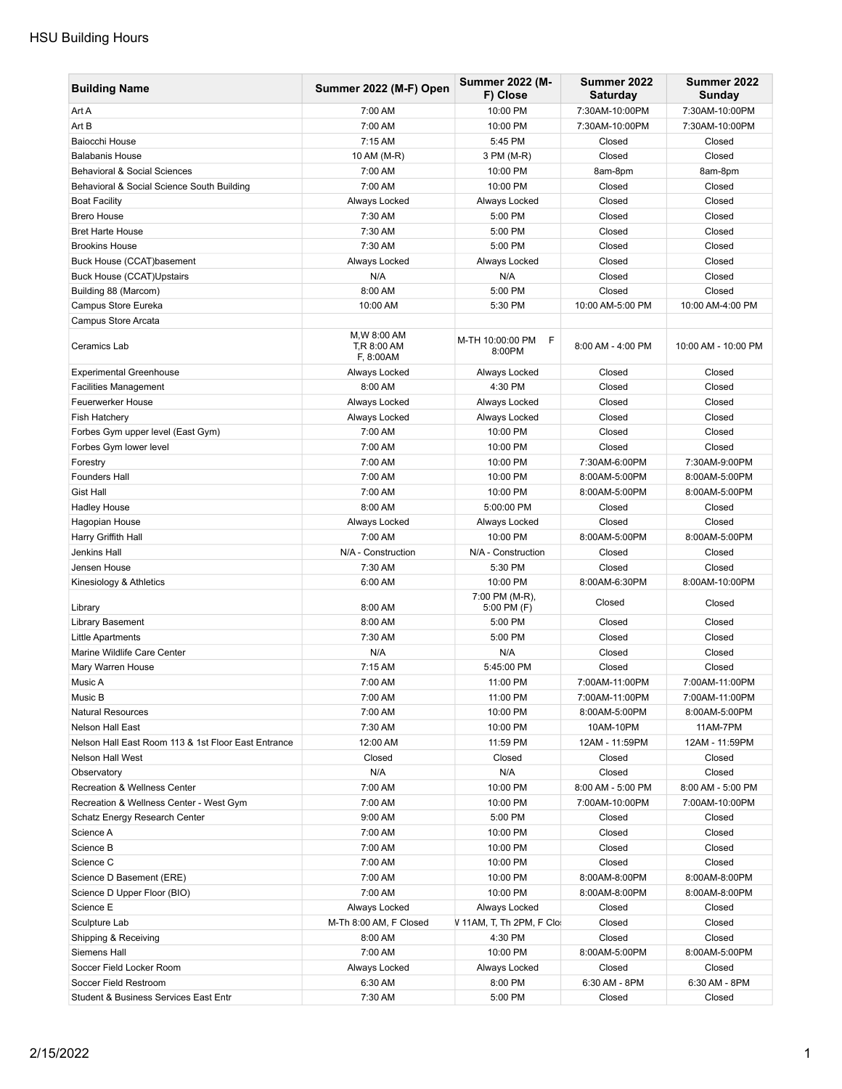## HSU Building Hours

| <b>Building Name</b>                                | Summer 2022 (M-F) Open                   | <b>Summer 2022 (M-</b><br>F) Close | Summer 2022<br><b>Saturday</b> | Summer 2022<br>Sunday |
|-----------------------------------------------------|------------------------------------------|------------------------------------|--------------------------------|-----------------------|
| Art A                                               | 7:00 AM                                  | 10:00 PM                           | 7:30AM-10:00PM                 | 7:30AM-10:00PM        |
| Art B                                               | 7:00 AM                                  | 10:00 PM                           | 7:30AM-10:00PM                 | 7:30AM-10:00PM        |
| Baiocchi House                                      | 7:15 AM                                  | 5:45 PM                            | Closed                         | Closed                |
| <b>Balabanis House</b>                              | 10 AM (M-R)                              | 3 PM (M-R)                         | Closed                         | Closed                |
| <b>Behavioral &amp; Social Sciences</b>             | 7:00 AM                                  | 10:00 PM                           | 8am-8pm                        | 8am-8pm               |
| Behavioral & Social Science South Building          | 7:00 AM                                  | 10:00 PM                           | Closed                         | Closed                |
| <b>Boat Facility</b>                                | Always Locked                            | Always Locked                      | Closed                         | Closed                |
| <b>Brero House</b>                                  | 7:30 AM                                  | 5:00 PM                            | Closed                         | Closed                |
| <b>Bret Harte House</b>                             | 7:30 AM                                  | 5:00 PM                            | Closed                         | Closed                |
| <b>Brookins House</b>                               | 7:30 AM                                  | 5:00 PM                            | Closed                         | Closed                |
| Buck House (CCAT)basement                           | Always Locked                            | Always Locked                      | Closed                         | Closed                |
| <b>Buck House (CCAT)Upstairs</b>                    | N/A                                      | N/A                                | Closed                         | Closed                |
| Building 88 (Marcom)                                | 8:00 AM                                  | 5:00 PM                            | Closed                         | Closed                |
| Campus Store Eureka                                 | 10:00 AM                                 | 5:30 PM                            | 10:00 AM-5:00 PM               | 10:00 AM-4:00 PM      |
| Campus Store Arcata                                 |                                          |                                    |                                |                       |
| Ceramics Lab                                        | M, W 8:00 AM<br>T,R 8:00 AM<br>F, 8:00AM | M-TH 10:00:00 PM<br>F<br>8:00PM    | 8:00 AM - 4:00 PM              | 10:00 AM - 10:00 PM   |
| <b>Experimental Greenhouse</b>                      | Always Locked                            | Always Locked                      | Closed                         | Closed                |
| <b>Facilities Management</b>                        | 8:00 AM                                  | 4:30 PM                            | Closed                         | Closed                |
| Feuerwerker House                                   | Always Locked                            | Always Locked                      | Closed                         | Closed                |
| Fish Hatchery                                       | Always Locked                            | Always Locked                      | Closed                         | Closed                |
| Forbes Gym upper level (East Gym)                   | 7:00 AM                                  | 10:00 PM                           | Closed                         | Closed                |
| Forbes Gym lower level                              | 7:00 AM                                  | 10:00 PM                           | Closed                         | Closed                |
| Forestry                                            | 7:00 AM                                  | 10:00 PM                           | 7:30AM-6:00PM                  | 7:30AM-9:00PM         |
| <b>Founders Hall</b>                                | 7:00 AM                                  | 10:00 PM                           | 8:00AM-5:00PM                  | 8:00AM-5:00PM         |
| <b>Gist Hall</b>                                    | 7:00 AM                                  | 10:00 PM                           | 8:00AM-5:00PM                  | 8:00AM-5:00PM         |
| <b>Hadley House</b>                                 | 8:00 AM                                  | 5:00:00 PM                         | Closed                         | Closed                |
| Hagopian House                                      | Always Locked                            | Always Locked                      | Closed                         | Closed                |
| Harry Griffith Hall                                 | 7:00 AM                                  | 10:00 PM                           | 8:00AM-5:00PM                  | 8:00AM-5:00PM         |
| Jenkins Hall                                        | N/A - Construction                       | N/A - Construction                 | Closed                         | Closed                |
| Jensen House                                        | 7:30 AM                                  | 5:30 PM                            | Closed                         | Closed                |
| Kinesiology & Athletics                             | 6:00 AM                                  | 10:00 PM                           | 8:00AM-6:30PM                  | 8:00AM-10:00PM        |
| Library                                             | 8:00 AM                                  | 7:00 PM (M-R),<br>5:00 PM (F)      | Closed                         | Closed                |
| <b>Library Basement</b>                             | 8:00 AM                                  | 5:00 PM                            | Closed                         | Closed                |
| Little Apartments                                   | 7:30 AM                                  | 5:00 PM                            | Closed                         | Closed                |
| Marine Wildlife Care Center                         | N/A                                      | N/A                                | Closed                         | Closed                |
| Mary Warren House                                   | 7:15 AM                                  | 5:45:00 PM                         | Closed                         | Closed                |
| Music A                                             | 7:00 AM                                  | 11:00 PM                           | 7:00AM-11:00PM                 | 7:00AM-11:00PM        |
| Music B                                             | 7:00 AM                                  | 11:00 PM                           | 7:00AM-11:00PM                 | 7:00AM-11:00PM        |
| <b>Natural Resources</b>                            | 7:00 AM                                  | 10:00 PM                           | 8:00AM-5:00PM                  | 8:00AM-5:00PM         |
| Nelson Hall East                                    | 7:30 AM                                  | 10:00 PM                           | 10AM-10PM                      | 11AM-7PM              |
| Nelson Hall East Room 113 & 1st Floor East Entrance | 12:00 AM                                 | 11:59 PM                           | 12AM - 11:59PM                 | 12AM - 11:59PM        |
| <b>Nelson Hall West</b>                             | Closed                                   | Closed                             | Closed                         | Closed                |
| Observatory                                         | N/A                                      | N/A                                | Closed                         | Closed                |
| <b>Recreation &amp; Wellness Center</b>             | 7:00 AM                                  | 10:00 PM                           | 8:00 AM - 5:00 PM              | 8:00 AM - 5:00 PM     |
| Recreation & Wellness Center - West Gym             | 7:00 AM                                  | 10:00 PM                           | 7:00AM-10:00PM                 | 7:00AM-10:00PM        |
| Schatz Energy Research Center                       | 9:00 AM                                  | 5:00 PM                            | Closed                         | Closed                |
| Science A                                           | 7:00 AM                                  | 10:00 PM                           | Closed                         | Closed                |
| Science B                                           | 7:00 AM                                  | 10:00 PM                           | Closed                         | Closed                |
| Science C                                           | 7:00 AM                                  | 10:00 PM                           | Closed                         | Closed                |
| Science D Basement (ERE)                            | 7:00 AM                                  | 10:00 PM                           | 8:00AM-8:00PM                  | 8:00AM-8:00PM         |
| Science D Upper Floor (BIO)                         | 7:00 AM                                  | 10:00 PM                           | 8:00AM-8:00PM                  | 8:00AM-8:00PM         |
| Science E                                           | Always Locked                            | Always Locked                      | Closed                         | Closed                |
| Sculpture Lab                                       | M-Th 8:00 AM, F Closed                   | V 11AM, T, Th 2PM, F Clo.          | Closed                         | Closed                |
| Shipping & Receiving                                | 8:00 AM                                  | 4:30 PM                            | Closed                         | Closed                |
| Siemens Hall                                        | 7:00 AM                                  | 10:00 PM                           | 8:00AM-5:00PM                  | 8:00AM-5:00PM         |
| Soccer Field Locker Room                            | Always Locked                            | Always Locked                      | Closed                         | Closed                |
| Soccer Field Restroom                               | 6:30 AM                                  | 8:00 PM                            | 6:30 AM - 8PM                  | 6:30 AM - 8PM         |
| Student & Business Services East Entr               | 7:30 AM                                  | 5:00 PM                            | Closed                         | Closed                |
|                                                     |                                          |                                    |                                |                       |